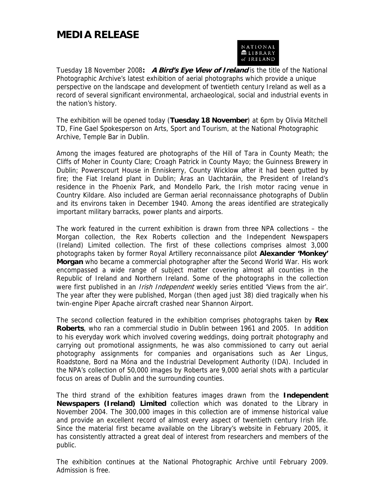## **MEDIA RELEASE**



Tuesday 18 November 2008**: A Bird's Eye View of Ireland** is the title of the National Photographic Archive's latest exhibition of aerial photographs which provide a unique perspective on the landscape and development of twentieth century Ireland as well as a record of several significant environmental, archaeological, social and industrial events in the nation's history.

The exhibition will be opened today (**Tuesday 18 November**) at 6pm by Olivia Mitchell TD, Fine Gael Spokesperson on Arts, Sport and Tourism, at the National Photographic Archive, Temple Bar in Dublin.

Among the images featured are photographs of the Hill of Tara in County Meath; the Cliffs of Moher in County Clare; Croagh Patrick in County Mayo; the Guinness Brewery in Dublin; Powerscourt House in Enniskerry, County Wicklow after it had been gutted by fire; the Fiat Ireland plant in Dublin; Áras an Uachtaráin, the President of Ireland's residence in the Phoenix Park, and Mondello Park, the Irish motor racing venue in Country Kildare. Also included are German aerial reconnaissance photographs of Dublin and its environs taken in December 1940. Among the areas identified are strategically important military barracks, power plants and airports.

The work featured in the current exhibition is drawn from three NPA collections – the Morgan collection, the Rex Roberts collection and the Independent Newspapers (Ireland) Limited collection. The first of these collections comprises almost 3,000 photographs taken by former Royal Artillery reconnaissance pilot **Alexander 'Monkey' Morgan** who became a commercial photographer after the Second World War. His work encompassed a wide range of subject matter covering almost all counties in the Republic of Ireland and Northern Ireland. Some of the photographs in the collection were first published in an *Irish Independent* weekly series entitled 'Views from the air'. The year after they were published, Morgan (then aged just 38) died tragically when his twin-engine Piper Apache aircraft crashed near Shannon Airport.

The second collection featured in the exhibition comprises photographs taken by **Rex Roberts**, who ran a commercial studio in Dublin between 1961 and 2005. In addition to his everyday work which involved covering weddings, doing portrait photography and carrying out promotional assignments, he was also commissioned to carry out aerial photography assignments for companies and organisations such as Aer Lingus, Roadstone, Bord na Móna and the Industrial Development Authority (IDA). Included in the NPA's collection of 50,000 images by Roberts are 9,000 aerial shots with a particular focus on areas of Dublin and the surrounding counties.

The third strand of the exhibition features images drawn from the **Independent Newspapers (Ireland) Limited** collection which was donated to the Library in November 2004. The 300,000 images in this collection are of immense historical value and provide an excellent record of almost every aspect of twentieth century Irish life. Since the material first became available on the Library's website in February 2005, it has consistently attracted a great deal of interest from researchers and members of the public.

The exhibition continues at the National Photographic Archive until February 2009. Admission is free.